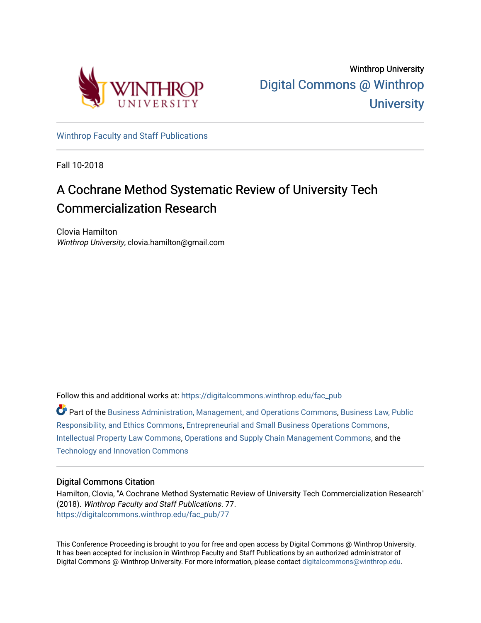

[Winthrop Faculty and Staff Publications](https://digitalcommons.winthrop.edu/fac_pub) 

Fall 10-2018

# A Cochrane Method Systematic Review of University Tech Commercialization Research

Clovia Hamilton Winthrop University, clovia.hamilton@gmail.com

Follow this and additional works at: [https://digitalcommons.winthrop.edu/fac\\_pub](https://digitalcommons.winthrop.edu/fac_pub?utm_source=digitalcommons.winthrop.edu%2Ffac_pub%2F77&utm_medium=PDF&utm_campaign=PDFCoverPages)

Part of the [Business Administration, Management, and Operations Commons](http://network.bepress.com/hgg/discipline/623?utm_source=digitalcommons.winthrop.edu%2Ffac_pub%2F77&utm_medium=PDF&utm_campaign=PDFCoverPages), [Business Law, Public](http://network.bepress.com/hgg/discipline/628?utm_source=digitalcommons.winthrop.edu%2Ffac_pub%2F77&utm_medium=PDF&utm_campaign=PDFCoverPages) [Responsibility, and Ethics Commons,](http://network.bepress.com/hgg/discipline/628?utm_source=digitalcommons.winthrop.edu%2Ffac_pub%2F77&utm_medium=PDF&utm_campaign=PDFCoverPages) [Entrepreneurial and Small Business Operations Commons](http://network.bepress.com/hgg/discipline/630?utm_source=digitalcommons.winthrop.edu%2Ffac_pub%2F77&utm_medium=PDF&utm_campaign=PDFCoverPages), [Intellectual Property Law Commons,](http://network.bepress.com/hgg/discipline/896?utm_source=digitalcommons.winthrop.edu%2Ffac_pub%2F77&utm_medium=PDF&utm_campaign=PDFCoverPages) [Operations and Supply Chain Management Commons,](http://network.bepress.com/hgg/discipline/1229?utm_source=digitalcommons.winthrop.edu%2Ffac_pub%2F77&utm_medium=PDF&utm_campaign=PDFCoverPages) and the [Technology and Innovation Commons](http://network.bepress.com/hgg/discipline/644?utm_source=digitalcommons.winthrop.edu%2Ffac_pub%2F77&utm_medium=PDF&utm_campaign=PDFCoverPages) 

# Digital Commons Citation

Hamilton, Clovia, "A Cochrane Method Systematic Review of University Tech Commercialization Research" (2018). Winthrop Faculty and Staff Publications. 77. [https://digitalcommons.winthrop.edu/fac\\_pub/77](https://digitalcommons.winthrop.edu/fac_pub/77?utm_source=digitalcommons.winthrop.edu%2Ffac_pub%2F77&utm_medium=PDF&utm_campaign=PDFCoverPages) 

This Conference Proceeding is brought to you for free and open access by Digital Commons @ Winthrop University. It has been accepted for inclusion in Winthrop Faculty and Staff Publications by an authorized administrator of Digital Commons @ Winthrop University. For more information, please contact [digitalcommons@winthrop.edu](mailto:digitalcommons@winthrop.edu).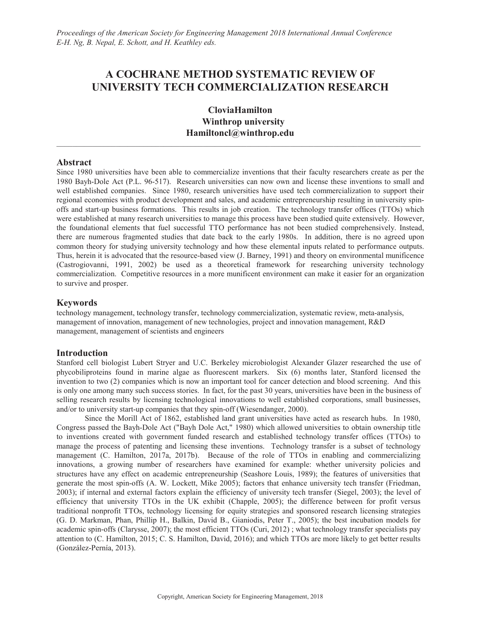# **A COCHRANE METHOD SYSTEMATIC REVIEW OF UNIVERSITY TECH COMMERCIALIZATION RESEARCH**

**CloviaHamilton Winthrop university Hamiltoncl@winthrop.edu**

 $\mathcal{L}_\mathcal{L} = \{ \mathcal{L}_\mathcal{L} = \{ \mathcal{L}_\mathcal{L} = \{ \mathcal{L}_\mathcal{L} = \{ \mathcal{L}_\mathcal{L} = \{ \mathcal{L}_\mathcal{L} = \{ \mathcal{L}_\mathcal{L} = \{ \mathcal{L}_\mathcal{L} = \{ \mathcal{L}_\mathcal{L} = \{ \mathcal{L}_\mathcal{L} = \{ \mathcal{L}_\mathcal{L} = \{ \mathcal{L}_\mathcal{L} = \{ \mathcal{L}_\mathcal{L} = \{ \mathcal{L}_\mathcal{L} = \{ \mathcal{L}_\mathcal{$ 

# **Abstract**

Since 1980 universities have been able to commercialize inventions that their faculty researchers create as per the 1980 Bayh-Dole Act (P.L. 96-517). Research universities can now own and license these inventions to small and well established companies. Since 1980, research universities have used tech commercialization to support their regional economies with product development and sales, and academic entrepreneurship resulting in university spinoffs and start-up business formations. This results in job creation. The technology transfer offices (TTOs) which were established at many research universities to manage this process have been studied quite extensively. However, the foundational elements that fuel successful TTO performance has not been studied comprehensively. Instead, there are numerous fragmented studies that date back to the early 1980s. In addition, there is no agreed upon common theory for studying university technology and how these elemental inputs related to performance outputs. Thus, herein it is advocated that the resource-based view (J. Barney, 1991) and theory on environmental munificence (Castrogiovanni, 1991, 2002) be used as a theoretical framework for researching university technology commercialization. Competitive resources in a more munificent environment can make it easier for an organization to survive and prosper.

# **Keywords**

technology management, technology transfer, technology commercialization, systematic review, meta-analysis, management of innovation, management of new technologies, project and innovation management, R&D management, management of scientists and engineers

# **Introduction**

Stanford cell biologist Lubert Stryer and U.C. Berkeley microbiologist Alexander Glazer researched the use of phycobiliproteins found in marine algae as fluorescent markers. Six (6) months later, Stanford licensed the invention to two (2) companies which is now an important tool for cancer detection and blood screening. And this is only one among many such success stories. In fact, for the past 30 years, universities have been in the business of selling research results by licensing technological innovations to well established corporations, small businesses, and/or to university start-up companies that they spin-off (Wiesendanger, 2000).

Since the Morill Act of 1862, established land grant universities have acted as research hubs. In 1980, Congress passed the Bayh-Dole Act ("Bayh Dole Act," 1980) which allowed universities to obtain ownership title to inventions created with government funded research and established technology transfer offices (TTOs) to manage the process of patenting and licensing these inventions. Technology transfer is a subset of technology management (C. Hamilton, 2017a, 2017b). Because of the role of TTOs in enabling and commercializing innovations, a growing number of researchers have examined for example: whether university policies and structures have any effect on academic entrepreneurship (Seashore Louis, 1989); the features of universities that generate the most spin-offs (A. W. Lockett, Mike 2005); factors that enhance university tech transfer (Friedman, 2003); if internal and external factors explain the efficiency of university tech transfer (Siegel, 2003); the level of efficiency that university TTOs in the UK exhibit (Chapple, 2005); the difference between for profit versus traditional nonprofit TTOs, technology licensing for equity strategies and sponsored research licensing strategies (G. D. Markman, Phan, Phillip H., Balkin, David B., Gianiodis, Peter T., 2005); the best incubation models for academic spin-offs (Clarysse, 2007); the most efficient TTOs (Curi, 2012) ; what technology transfer specialists pay attention to (C. Hamilton, 2015; C. S. Hamilton, David, 2016); and which TTOs are more likely to get better results (González-Pernía, 2013).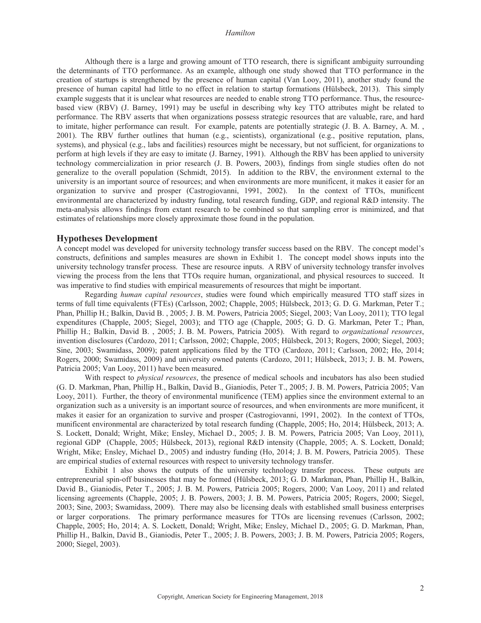Although there is a large and growing amount of TTO research, there is significant ambiguity surrounding the determinants of TTO performance. As an example, although one study showed that TTO performance in the creation of startups is strengthened by the presence of human capital (Van Looy, 2011), another study found the presence of human capital had little to no effect in relation to startup formations (Hülsbeck, 2013). This simply example suggests that it is unclear what resources are needed to enable strong TTO performance. Thus, the resourcebased view (RBV) (J. Barney, 1991) may be useful in describing why key TTO attributes might be related to performance. The RBV asserts that when organizations possess strategic resources that are valuable, rare, and hard to imitate, higher performance can result. For example, patents are potentially strategic (J. B. A. Barney, A. M. , 2001). The RBV further outlines that human (e.g., scientists), organizational (e.g., positive reputation, plans, systems), and physical (e.g., labs and facilities) resources might be necessary, but not sufficient, for organizations to perform at high levels if they are easy to imitate (J. Barney, 1991). Although the RBV has been applied to university technology commercialization in prior research (J. B. Powers, 2003), findings from single studies often do not generalize to the overall population (Schmidt, 2015). In addition to the RBV, the environment external to the university is an important source of resources; and when environments are more munificent, it makes it easier for an organization to survive and prosper (Castrogiovanni, 1991, 2002). In the context of TTOs, munificent environmental are characterized by industry funding, total research funding, GDP, and regional R&D intensity. The meta-analysis allows findings from extant research to be combined so that sampling error is minimized, and that estimates of relationships more closely approximate those found in the population.

#### **Hypotheses Development**

A concept model was developed for university technology transfer success based on the RBV. The concept model's constructs, definitions and samples measures are shown in Exhibit 1. The concept model shows inputs into the university technology transfer process. These are resource inputs. A RBV of university technology transfer involves viewing the process from the lens that TTOs require human, organizational, and physical resources to succeed. It was imperative to find studies with empirical measurements of resources that might be important.

Regarding *human capital resources*, studies were found which empirically measured TTO staff sizes in terms of full time equivalents (FTEs) (Carlsson, 2002; Chapple, 2005; Hülsbeck, 2013; G. D. G. Markman, Peter T.; Phan, Phillip H.; Balkin, David B. , 2005; J. B. M. Powers, Patricia 2005; Siegel, 2003; Van Looy, 2011); TTO legal expenditures (Chapple, 2005; Siegel, 2003); and TTO age (Chapple, 2005; G. D. G. Markman, Peter T.; Phan, Phillip H.; Balkin, David B. , 2005; J. B. M. Powers, Patricia 2005). With regard to *organizational resources*, invention disclosures (Cardozo, 2011; Carlsson, 2002; Chapple, 2005; Hülsbeck, 2013; Rogers, 2000; Siegel, 2003; Sine, 2003; Swamidass, 2009); patent applications filed by the TTO (Cardozo, 2011; Carlsson, 2002; Ho, 2014; Rogers, 2000; Swamidass, 2009) and university owned patents (Cardozo, 2011; Hülsbeck, 2013; J. B. M. Powers, Patricia 2005; Van Looy, 2011) have been measured.

With respect to *physical resources*, the presence of medical schools and incubators has also been studied (G. D. Markman, Phan, Phillip H., Balkin, David B., Gianiodis, Peter T., 2005; J. B. M. Powers, Patricia 2005; Van Looy, 2011). Further, the theory of environmental munificence (TEM) applies since the environment external to an organization such as a university is an important source of resources, and when environments are more munificent, it makes it easier for an organization to survive and prosper (Castrogiovanni, 1991, 2002). In the context of TTOs, munificent environmental are characterized by total research funding (Chapple, 2005; Ho, 2014; Hülsbeck, 2013; A. S. Lockett, Donald; Wright, Mike; Ensley, Michael D., 2005; J. B. M. Powers, Patricia 2005; Van Looy, 2011), regional GDP (Chapple, 2005; Hülsbeck, 2013), regional R&D intensity (Chapple, 2005; A. S. Lockett, Donald; Wright, Mike; Ensley, Michael D., 2005) and industry funding (Ho, 2014; J. B. M. Powers, Patricia 2005). These are empirical studies of external resources with respect to university technology transfer.

Exhibit 1 also shows the outputs of the university technology transfer process. These outputs are entrepreneurial spin-off businesses that may be formed (Hülsbeck, 2013; G. D. Markman, Phan, Phillip H., Balkin, David B., Gianiodis, Peter T., 2005; J. B. M. Powers, Patricia 2005; Rogers, 2000; Van Looy, 2011) and related licensing agreements (Chapple, 2005; J. B. Powers, 2003; J. B. M. Powers, Patricia 2005; Rogers, 2000; Siegel, 2003; Sine, 2003; Swamidass, 2009). There may also be licensing deals with established small business enterprises or larger corporations. The primary performance measures for TTOs are licensing revenues (Carlsson, 2002; Chapple, 2005; Ho, 2014; A. S. Lockett, Donald; Wright, Mike; Ensley, Michael D., 2005; G. D. Markman, Phan, Phillip H., Balkin, David B., Gianiodis, Peter T., 2005; J. B. Powers, 2003; J. B. M. Powers, Patricia 2005; Rogers, 2000; Siegel, 2003).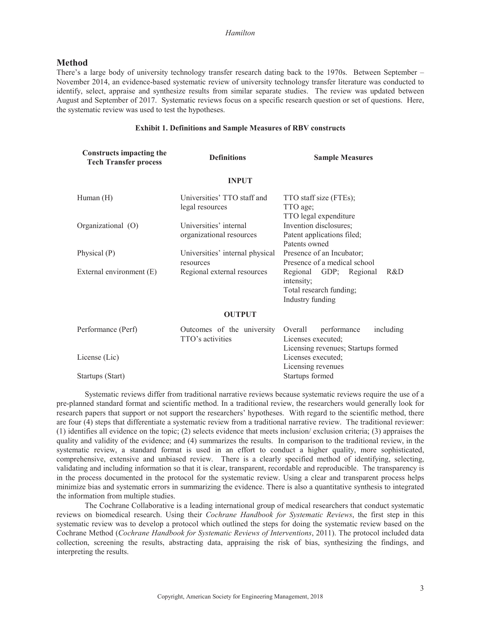#### **Method**

There's a large body of university technology transfer research dating back to the 1970s. Between September – November 2014, an evidence-based systematic review of university technology transfer literature was conducted to identify, select, appraise and synthesize results from similar separate studies. The review was updated between August and September of 2017. Systematic reviews focus on a specific research question or set of questions. Here, the systematic review was used to test the hypotheses.

#### **Exhibit 1. Definitions and Sample Measures of RBV constructs**

| <b>Constructs impacting the</b><br><b>Tech Transfer process</b> | <b>Definitions</b>                                 | <b>Sample Measures</b>                                                                     |
|-----------------------------------------------------------------|----------------------------------------------------|--------------------------------------------------------------------------------------------|
|                                                                 | <b>INPUT</b>                                       |                                                                                            |
| Human $(H)$                                                     | Universities' TTO staff and<br>legal resources     | TTO staff size (FTEs);<br>TTO age;<br>TTO legal expenditure                                |
| Organizational (O)                                              | Universities' internal<br>organizational resources | Invention disclosures;<br>Patent applications filed;<br>Patents owned                      |
| Physical (P)                                                    | Universities' internal physical<br>resources       | Presence of an Incubator;<br>Presence of a medical school                                  |
| External environment (E)                                        | Regional external resources                        | R&D<br>Regional GDP; Regional<br>intensity;<br>Total research funding;<br>Industry funding |
|                                                                 | <b>OUTPUT</b>                                      |                                                                                            |
| Performance (Perf)                                              | Outcomes of the university<br>TTO's activities     | performance<br>including<br>Overall<br>Licenses executed;                                  |
| License (Lic)                                                   |                                                    | Licensing revenues; Startups formed<br>Licenses executed;                                  |

Startups (Start) Startups formed

Systematic reviews differ from traditional narrative reviews because systematic reviews require the use of a pre-planned standard format and scientific method. In a traditional review, the researchers would generally look for research papers that support or not support the researchers' hypotheses. With regard to the scientific method, there are four (4) steps that differentiate a systematic review from a traditional narrative review. The traditional reviewer: (1) identifies all evidence on the topic; (2) selects evidence that meets inclusion/ exclusion criteria; (3) appraises the quality and validity of the evidence; and (4) summarizes the results. In comparison to the traditional review, in the systematic review, a standard format is used in an effort to conduct a higher quality, more sophisticated, comprehensive, extensive and unbiased review. There is a clearly specified method of identifying, selecting, validating and including information so that it is clear, transparent, recordable and reproducible. The transparency is in the process documented in the protocol for the systematic review. Using a clear and transparent process helps minimize bias and systematic errors in summarizing the evidence. There is also a quantitative synthesis to integrated the information from multiple studies.

Licensing revenues

The Cochrane Collaborative is a leading international group of medical researchers that conduct systematic reviews on biomedical research. Using their *Cochrane Handbook for Systematic Reviews*, the first step in this systematic review was to develop a protocol which outlined the steps for doing the systematic review based on the Cochrane Method (*Cochrane Handbook for Systematic Reviews of Interventions*, 2011). The protocol included data collection, screening the results, abstracting data, appraising the risk of bias, synthesizing the findings, and interpreting the results.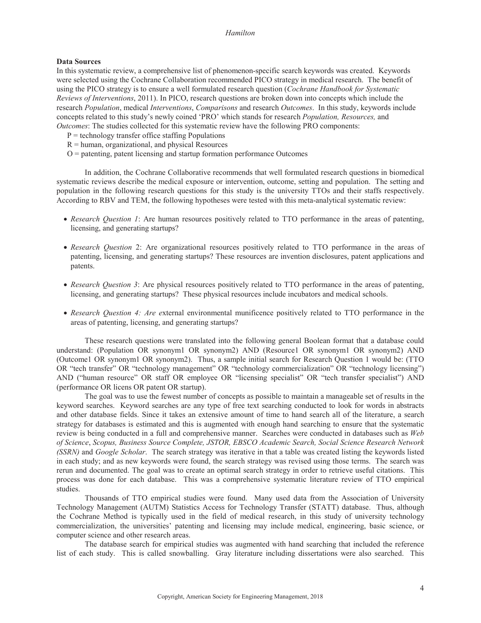#### **Data Sources**

In this systematic review, a comprehensive list of phenomenon-specific search keywords was created. Keywords were selected using the Cochrane Collaboration recommended PICO strategy in medical research. The benefit of using the PICO strategy is to ensure a well formulated research question (*Cochrane Handbook for Systematic Reviews of Interventions*, 2011). In PICO, research questions are broken down into concepts which include the research *Population*, medical *Interventions*, *Comparisons* and research *Outcomes*. In this study, keywords include concepts related to this study's newly coined 'PRO' which stands for research *Population, Resources,* and *Outcomes*: The studies collected for this systematic review have the following PRO components:

- $P =$  technology transfer office staffing Populations
- $R =$ human, organizational, and physical Resources
- $O =$  patenting, patent licensing and startup formation performance Outcomes

In addition, the Cochrane Collaborative recommends that well formulated research questions in biomedical systematic reviews describe the medical exposure or intervention, outcome, setting and population. The setting and population in the following research questions for this study is the university TTOs and their staffs respectively. According to RBV and TEM, the following hypotheses were tested with this meta-analytical systematic review:

- *Research Question 1*: Are human resources positively related to TTO performance in the areas of patenting, licensing, and generating startups?
- x *Research Question* 2: Are organizational resources positively related to TTO performance in the areas of patenting, licensing, and generating startups? These resources are invention disclosures, patent applications and patents.
- *Research Question 3*: Are physical resources positively related to TTO performance in the areas of patenting, licensing, and generating startups? These physical resources include incubators and medical schools.
- x *Research Question 4: Are e*xternal environmental munificence positively related to TTO performance in the areas of patenting, licensing, and generating startups?

These research questions were translated into the following general Boolean format that a database could understand: (Population OR synonym1 OR synonym2) AND (Resource1 OR synonym1 OR synonym2) AND (Outcome1 OR synonym1 OR synonym2). Thus, a sample initial search for Research Question 1 would be: (TTO OR "tech transfer" OR "technology management" OR "technology commercialization" OR "technology licensing") AND ("human resource" OR staff OR employee OR "licensing specialist" OR "tech transfer specialist") AND (performance OR licens OR patent OR startup).

The goal was to use the fewest number of concepts as possible to maintain a manageable set of results in the keyword searches. Keyword searches are any type of free text searching conducted to look for words in abstracts and other database fields. Since it takes an extensive amount of time to hand search all of the literature, a search strategy for databases is estimated and this is augmented with enough hand searching to ensure that the systematic review is being conducted in a full and comprehensive manner. Searches were conducted in databases such as *Web of Science*, *Scopus, Business Source Complete, JSTOR, EBSCO Academic Search, Social Science Research Network (SSRN)* and *Google Scholar*. The search strategy was iterative in that a table was created listing the keywords listed in each study; and as new keywords were found, the search strategy was revised using those terms. The search was rerun and documented. The goal was to create an optimal search strategy in order to retrieve useful citations. This process was done for each database. This was a comprehensive systematic literature review of TTO empirical studies.

Thousands of TTO empirical studies were found. Many used data from the Association of University Technology Management (AUTM) Statistics Access for Technology Transfer (STATT) database. Thus, although the Cochrane Method is typically used in the field of medical research, in this study of university technology commercialization, the universities' patenting and licensing may include medical, engineering, basic science, or computer science and other research areas.

The database search for empirical studies was augmented with hand searching that included the reference list of each study. This is called snowballing. Gray literature including dissertations were also searched. This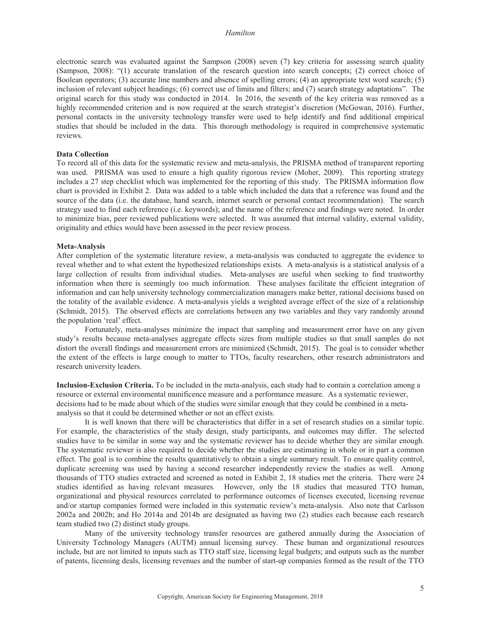electronic search was evaluated against the Sampson (2008) seven (7) key criteria for assessing search quality (Sampson, 2008): "(1) accurate translation of the research question into search concepts; (2) correct choice of Boolean operators; (3) accurate line numbers and absence of spelling errors; (4) an appropriate text word search; (5) inclusion of relevant subject headings; (6) correct use of limits and filters; and (7) search strategy adaptations". The original search for this study was conducted in 2014. In 2016, the seventh of the key criteria was removed as a highly recommended criterion and is now required at the search strategist's discretion (McGowan, 2016). Further, personal contacts in the university technology transfer were used to help identify and find additional empirical studies that should be included in the data. This thorough methodology is required in comprehensive systematic reviews.

#### **Data Collection**

To record all of this data for the systematic review and meta-analysis, the PRISMA method of transparent reporting was used. PRISMA was used to ensure a high quality rigorous review (Moher, 2009). This reporting strategy includes a 27 step checklist which was implemented for the reporting of this study. The PRISMA information flow chart is provided in Exhibit 2. Data was added to a table which included the data that a reference was found and the source of the data (i.e. the database, hand search, internet search or personal contact recommendation). The search strategy used to find each reference (i.e. keywords); and the name of the reference and findings were noted. In order to minimize bias, peer reviewed publications were selected. It was assumed that internal validity, external validity, originality and ethics would have been assessed in the peer review process.

#### **Meta-Analysis**

After completion of the systematic literature review, a meta-analysis was conducted to aggregate the evidence to reveal whether and to what extent the hypothesized relationships exists. A meta-analysis is a statistical analysis of a large collection of results from individual studies. Meta-analyses are useful when seeking to find trustworthy information when there is seemingly too much information. These analyses facilitate the efficient integration of information and can help university technology commercialization managers make better, rational decisions based on the totality of the available evidence. A meta-analysis yields a weighted average effect of the size of a relationship (Schmidt, 2015). The observed effects are correlations between any two variables and they vary randomly around the population 'real' effect.

Fortunately, meta-analyses minimize the impact that sampling and measurement error have on any given study's results because meta-analyses aggregate effects sizes from multiple studies so that small samples do not distort the overall findings and measurement errors are minimized (Schmidt, 2015). The goal is to consider whether the extent of the effects is large enough to matter to TTOs, faculty researchers, other research administrators and research university leaders.

**Inclusion-Exclusion Criteria.** To be included in the meta-analysis, each study had to contain a correlation among a resource or external environmental munificence measure and a performance measure. As a systematic reviewer, decisions had to be made about which of the studies were similar enough that they could be combined in a metaanalysis so that it could be determined whether or not an effect exists.

It is well known that there will be characteristics that differ in a set of research studies on a similar topic. For example, the characteristics of the study design, study participants, and outcomes may differ. The selected studies have to be similar in some way and the systematic reviewer has to decide whether they are similar enough. The systematic reviewer is also required to decide whether the studies are estimating in whole or in part a common effect. The goal is to combine the results quantitatively to obtain a single summary result. To ensure quality control, duplicate screening was used by having a second researcher independently review the studies as well. Among thousands of TTO studies extracted and screened as noted in Exhibit 2, 18 studies met the criteria. There were 24 studies identified as having relevant measures. However, only the 18 studies that measured TTO human, organizational and physical resources correlated to performance outcomes of licenses executed, licensing revenue and/or startup companies formed were included in this systematic review's meta-analysis. Also note that Carlsson 2002a and 2002b; and Ho 2014a and 2014b are designated as having two (2) studies each because each research team studied two (2) distinct study groups.

Many of the university technology transfer resources are gathered annually during the Association of University Technology Managers (AUTM) annual licensing survey. These human and organizational resources include, but are not limited to inputs such as TTO staff size, licensing legal budgets; and outputs such as the number of patents, licensing deals, licensing revenues and the number of start-up companies formed as the result of the TTO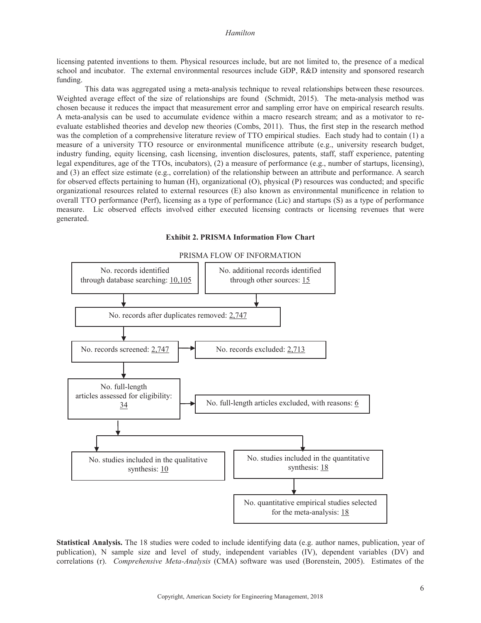licensing patented inventions to them. Physical resources include, but are not limited to, the presence of a medical school and incubator. The external environmental resources include GDP, R&D intensity and sponsored research funding.

This data was aggregated using a meta-analysis technique to reveal relationships between these resources. Weighted average effect of the size of relationships are found (Schmidt, 2015). The meta-analysis method was chosen because it reduces the impact that measurement error and sampling error have on empirical research results. A meta-analysis can be used to accumulate evidence within a macro research stream; and as a motivator to reevaluate established theories and develop new theories (Combs, 2011). Thus, the first step in the research method was the completion of a comprehensive literature review of TTO empirical studies. Each study had to contain (1) a measure of a university TTO resource or environmental munificence attribute (e.g., university research budget, industry funding, equity licensing, cash licensing, invention disclosures, patents, staff, staff experience, patenting legal expenditures, age of the TTOs, incubators), (2) a measure of performance (e.g., number of startups, licensing), and (3) an effect size estimate (e.g., correlation) of the relationship between an attribute and performance. A search for observed effects pertaining to human (H), organizational (O), physical (P) resources was conducted; and specific organizational resources related to external resources (E) also known as environmental munificence in relation to overall TTO performance (Perf), licensing as a type of performance (Lic) and startups (S) as a type of performance measure. Lic observed effects involved either executed licensing contracts or licensing revenues that were generated.



# **Exhibit 2. PRISMA Information Flow Chart**

**Statistical Analysis.** The 18 studies were coded to include identifying data (e.g. author names, publication, year of publication), N sample size and level of study, independent variables (IV), dependent variables (DV) and correlations (r). *Comprehensive Meta-Analysis* (CMA) software was used (Borenstein, 2005). Estimates of the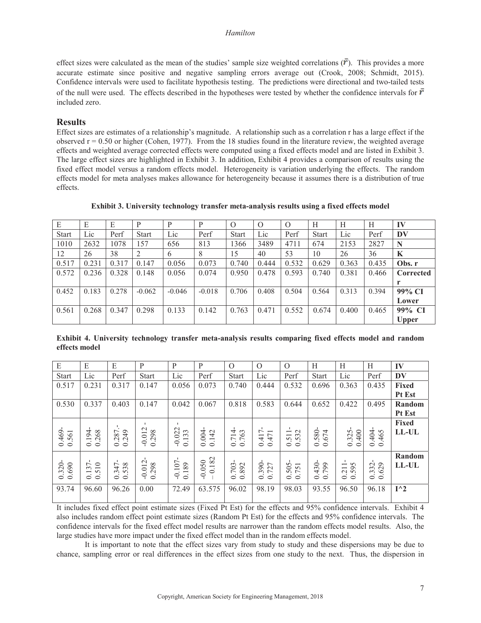effect sizes were calculated as the mean of the studies' sample size weighted correlations  $(\bar{r})$ . This provides a more accurate estimate since positive and negative sampling errors average out (Crook, 2008; Schmidt, 2015). Confidence intervals were used to facilitate hypothesis testing. The predictions were directional and two-tailed tests of the null were used. The effects described in the hypotheses were tested by whether the confidence intervals for  $\vec{r}$ included zero.

# **Results**

Effect sizes are estimates of a relationship's magnitude. A relationship such as a correlation r has a large effect if the observed  $r = 0.50$  or higher (Cohen, 1977). From the 18 studies found in the literature review, the weighted average effects and weighted average corrected effects were computed using a fixed effects model and are listed in Exhibit 3. The large effect sizes are highlighted in Exhibit 3. In addition, Exhibit 4 provides a comparison of results using the fixed effect model versus a random effects model. Heterogeneity is variation underlying the effects. The random effects model for meta analyses makes allowance for heterogeneity because it assumes there is a distribution of true effects.

**Exhibit 3. University technology transfer meta-analysis results using a fixed effects model**

| E            | E     | Е     | P            | D        | p        | $\Omega$     | $\Omega$ | $\Omega$ | H            | Н     | H     | IV           |
|--------------|-------|-------|--------------|----------|----------|--------------|----------|----------|--------------|-------|-------|--------------|
| <b>Start</b> | Lic   | Perf  | <b>Start</b> | Lic      | Perf     | <b>Start</b> | Lic      | Perf     | <b>Start</b> | Lic   | Perf  | DV           |
| 1010         | 2632  | 1078  | 157          | 656      | 813      | 1366         | 3489     | 4711     | 674          | 2153  | 2827  | N            |
| 12           | 26    | 38    |              | 6        | 8        | 15           | 40       | 53       | 10           | 26    | 36    | K            |
| 0.517        | 0.231 | 0.317 | 0.147        | 0.056    | 0.073    | 0.740        | 0.444    | 0.532    | 0.629        | 0.363 | 0.435 | Obs. r       |
| 0.572        | 0.236 | 0.328 | 0.148        | 0.056    | 0.074    | 0.950        | 0.478    | 0.593    | 0.740        | 0.381 | 0.466 | Corrected    |
|              |       |       |              |          |          |              |          |          |              |       |       |              |
| 0.452        | 0.183 | 0.278 | $-0.062$     | $-0.046$ | $-0.018$ | 0.706        | 0.408    | 0.504    | 0.564        | 0.313 | 0.394 | 99% CI       |
|              |       |       |              |          |          |              |          |          |              |       |       | Lower        |
| 0.561        | 0.268 | 0.347 | 0.298        | 0.133    | 0.142    | 0.763        | 0.471    | 0.552    | 0.674        | 0.400 | 0.465 | 99% CI       |
|              |       |       |              |          |          |              |          |          |              |       |       | <b>Upper</b> |

**Exhibit 4. University technology transfer meta-analysis results comparing fixed effects model and random effects model**

| IV            | H                 | H                                                                     | H                                      | $\Omega$                                        | $\Omega$                                   | $\Omega$                                               | P                | P                               | P                       | E                                         | E                                    | E                     |
|---------------|-------------------|-----------------------------------------------------------------------|----------------------------------------|-------------------------------------------------|--------------------------------------------|--------------------------------------------------------|------------------|---------------------------------|-------------------------|-------------------------------------------|--------------------------------------|-----------------------|
| DV            | Perf              | Lic                                                                   | <b>Start</b>                           | Perf                                            | Lic                                        | <b>Start</b>                                           | Perf             | Lic                             | <b>Start</b>            | Perf                                      | Lic                                  | <b>Start</b>          |
| Fixed         | 0.435             | 0.363                                                                 | 0.696                                  | 0.532                                           | 0.444                                      | 0.740                                                  | 0.073            | 0.056                           | 0.147                   | 0.317                                     | 0.231                                | 0.517                 |
| Pt Est        |                   |                                                                       |                                        |                                                 |                                            |                                                        |                  |                                 |                         |                                           |                                      |                       |
| Random        | 0.495             | 0.422                                                                 | 0.652                                  | 0.644                                           | 0.583                                      | 0.818                                                  | 0.067            | 0.042                           | 0.147                   | 0.403                                     | 0.337                                | 0.530                 |
| Pt Est        |                   |                                                                       |                                        |                                                 |                                            |                                                        |                  |                                 |                         |                                           |                                      |                       |
| <b>Fixed</b>  |                   |                                                                       |                                        |                                                 |                                            |                                                        |                  |                                 |                         |                                           |                                      |                       |
| LL-UL         |                   |                                                                       | 580<br>4                               | $\sim$<br>$\overline{\phantom{0}}$<br>$ \infty$ | $\overline{ }$<br>$\overline{\phantom{0}}$ | 4<br>$\epsilon$<br>$\ddot{\circ}$                      | 142              | .022<br>133                     | .012                    | 287<br>249                                | $\overline{ }$<br>268<br>$\tilde{e}$ |                       |
|               | 0.404<br>0.465    | $\frac{0.325}{0.400}$                                                 | $\overline{6}$ .<br>$\circ$<br>$\circ$ | n in<br>$\circ$<br>$\circ$                      | 0.47<br>$\overline{+}$<br>$\circ$          | $\overline{7}$<br>$\overline{ }$<br>$\circ$<br>$\circ$ | 0.004<br>$\circ$ | $\overline{Q}$<br>$\circ$       | 0.298<br>$\cup$         | $\dot{\circ}$<br>$\circ$                  | $\circ$<br>$\circ$                   | $\frac{0.469}{0.561}$ |
|               |                   |                                                                       |                                        |                                                 |                                            |                                                        |                  |                                 |                         |                                           |                                      |                       |
| Random        | $\circ$<br>$\sim$ |                                                                       |                                        | $\sim -$                                        |                                            |                                                        |                  | $\overline{0}$                  | $\sim$                  | $\overline{ }$                            | 5                                    |                       |
| <b>LL-UL</b>  | $\omega$ $\omega$ | $\sim$ $\sim$<br>$\circ$<br>$\overline{\phantom{0}}$<br>$\sim$ $\sim$ | $430 -$<br>0.799                       | $\frac{50}{75}$                                 | 390-<br>727                                | 0.703<br>0.892                                         | $0.050$<br>0.182 | 189<br>$\overline{\phantom{0}}$ | 0.298<br>$\overline{0}$ | 38<br>$\overline{4}$<br>$\omega$ $\omega$ | $\frac{0.137}{0.510}$                | $\frac{0.320}{0.690}$ |
|               | $\frac{3}{6}$     | $\circ$<br>$\circ$                                                    | $\circ$                                | $\circ$<br>$\circ$                              | $\circ$<br>$\circ$                         |                                                        | $\overline{P}$   | $\overline{Q}$<br>$\circ$       | $\overline{Q}$          | $\circ$<br>$\circ$                        |                                      |                       |
| $I^{\wedge}2$ | 96.18             | 96.50                                                                 | 93.55                                  | 98.03                                           | 98.19                                      | 96.02                                                  | 63.575           | 72.49                           | 0.00                    | 96.26                                     | 96.60                                | 93.74                 |
|               |                   |                                                                       |                                        |                                                 |                                            |                                                        |                  |                                 |                         |                                           |                                      |                       |

It includes fixed effect point estimate sizes (Fixed Pt Est) for the effects and 95% confidence intervals. Exhibit 4 also includes random effect point estimate sizes (Random Pt Est) for the effects and 95% confidence intervals. The confidence intervals for the fixed effect model results are narrower than the random effects model results. Also, the large studies have more impact under the fixed effect model than in the random effects model.

It is important to note that the effect sizes vary from study to study and these dispersions may be due to chance, sampling error or real differences in the effect sizes from one study to the next. Thus, the dispersion in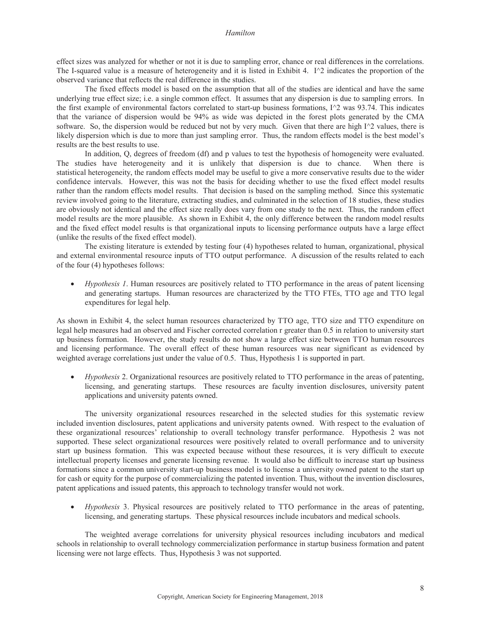effect sizes was analyzed for whether or not it is due to sampling error, chance or real differences in the correlations. The I-squared value is a measure of heterogeneity and it is listed in Exhibit 4. I $\alpha$  indicates the proportion of the observed variance that reflects the real difference in the studies.

The fixed effects model is based on the assumption that all of the studies are identical and have the same underlying true effect size; i.e. a single common effect. It assumes that any dispersion is due to sampling errors. In the first example of environmental factors correlated to start-up business formations,  $I^{\wedge}2$  was 93.74. This indicates that the variance of dispersion would be 94% as wide was depicted in the forest plots generated by the CMA software. So, the dispersion would be reduced but not by very much. Given that there are high I^2 values, there is likely dispersion which is due to more than just sampling error. Thus, the random effects model is the best model's results are the best results to use.

In addition, Q, degrees of freedom (df) and p values to test the hypothesis of homogeneity were evaluated. The studies have heterogeneity and it is unlikely that dispersion is due to chance. When there is statistical heterogeneity, the random effects model may be useful to give a more conservative results due to the wider confidence intervals. However, this was not the basis for deciding whether to use the fixed effect model results rather than the random effects model results. That decision is based on the sampling method. Since this systematic review involved going to the literature, extracting studies, and culminated in the selection of 18 studies, these studies are obviously not identical and the effect size really does vary from one study to the next. Thus, the random effect model results are the more plausible. As shown in Exhibit 4, the only difference between the random model results and the fixed effect model results is that organizational inputs to licensing performance outputs have a large effect (unlike the results of the fixed effect model).

The existing literature is extended by testing four (4) hypotheses related to human, organizational, physical and external environmental resource inputs of TTO output performance. A discussion of the results related to each of the four (4) hypotheses follows:

*Hypothesis 1*. Human resources are positively related to TTO performance in the areas of patent licensing and generating startups. Human resources are characterized by the TTO FTEs, TTO age and TTO legal expenditures for legal help.

As shown in Exhibit 4, the select human resources characterized by TTO age, TTO size and TTO expenditure on legal help measures had an observed and Fischer corrected correlation r greater than 0.5 in relation to university start up business formation. However, the study results do not show a large effect size between TTO human resources and licensing performance. The overall effect of these human resources was near significant as evidenced by weighted average correlations just under the value of 0.5. Thus, Hypothesis 1 is supported in part.

*Hypothesis* 2. Organizational resources are positively related to TTO performance in the areas of patenting, licensing, and generating startups. These resources are faculty invention disclosures, university patent applications and university patents owned.

The university organizational resources researched in the selected studies for this systematic review included invention disclosures, patent applications and university patents owned. With respect to the evaluation of these organizational resources' relationship to overall technology transfer performance. Hypothesis 2 was not supported. These select organizational resources were positively related to overall performance and to university start up business formation. This was expected because without these resources, it is very difficult to execute intellectual property licenses and generate licensing revenue. It would also be difficult to increase start up business formations since a common university start-up business model is to license a university owned patent to the start up for cash or equity for the purpose of commercializing the patented invention. Thus, without the invention disclosures, patent applications and issued patents, this approach to technology transfer would not work.

• *Hypothesis* 3. Physical resources are positively related to TTO performance in the areas of patenting, licensing, and generating startups. These physical resources include incubators and medical schools.

The weighted average correlations for university physical resources including incubators and medical schools in relationship to overall technology commercialization performance in startup business formation and patent licensing were not large effects. Thus, Hypothesis 3 was not supported.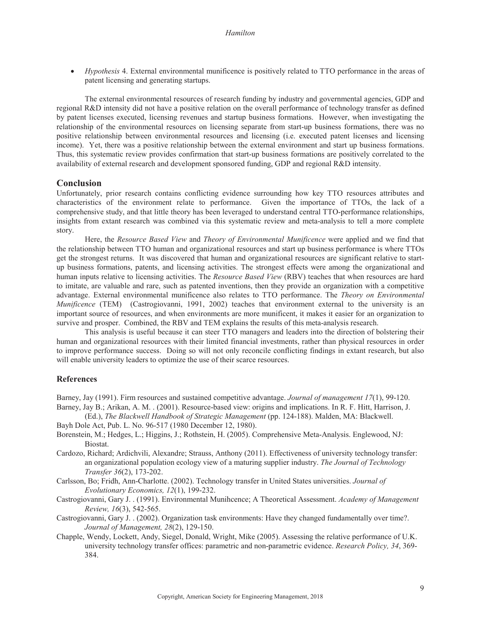• *Hypothesis* 4. External environmental munificence is positively related to TTO performance in the areas of patent licensing and generating startups.

The external environmental resources of research funding by industry and governmental agencies, GDP and regional R&D intensity did not have a positive relation on the overall performance of technology transfer as defined by patent licenses executed, licensing revenues and startup business formations. However, when investigating the relationship of the environmental resources on licensing separate from start-up business formations, there was no positive relationship between environmental resources and licensing (i.e. executed patent licenses and licensing income). Yet, there was a positive relationship between the external environment and start up business formations. Thus, this systematic review provides confirmation that start-up business formations are positively correlated to the availability of external research and development sponsored funding, GDP and regional R&D intensity.

### **Conclusion**

Unfortunately, prior research contains conflicting evidence surrounding how key TTO resources attributes and characteristics of the environment relate to performance. Given the importance of TTOs, the lack of a comprehensive study, and that little theory has been leveraged to understand central TTO-performance relationships, insights from extant research was combined via this systematic review and meta-analysis to tell a more complete story.

Here, the *Resource Based View* and *Theory of Environmental Munificence* were applied and we find that the relationship between TTO human and organizational resources and start up business performance is where TTOs get the strongest returns. It was discovered that human and organizational resources are significant relative to startup business formations, patents, and licensing activities. The strongest effects were among the organizational and human inputs relative to licensing activities. The *Resource Based View* (RBV) teaches that when resources are hard to imitate, are valuable and rare, such as patented inventions, then they provide an organization with a competitive advantage. External environmental munificence also relates to TTO performance. The *Theory on Environmental Munificence* (TEM) (Castrogiovanni, 1991, 2002) teaches that environment external to the university is an important source of resources, and when environments are more munificent, it makes it easier for an organization to survive and prosper. Combined, the RBV and TEM explains the results of this meta-analysis research.

This analysis is useful because it can steer TTO managers and leaders into the direction of bolstering their human and organizational resources with their limited financial investments, rather than physical resources in order to improve performance success. Doing so will not only reconcile conflicting findings in extant research, but also will enable university leaders to optimize the use of their scarce resources.

#### **References**

Barney, Jay (1991). Firm resources and sustained competitive advantage. *Journal of management 17*(1), 99-120. Barney, Jay B.; Arikan, A. M. . (2001). Resource-based view: origins and implications. In R. F. Hitt, Harrison, J.

- (Ed.), *The Blackwell Handbook of Strategic Management* (pp. 124-188). Malden, MA: Blackwell. Bayh Dole Act, Pub. L. No. 96-517 (1980 December 12, 1980).
- Borenstein, M.; Hedges, L.; Higgins, J.; Rothstein, H. (2005). Comprehensive Meta-Analysis. Englewood, NJ: Biostat.
- Cardozo, Richard; Ardichvili, Alexandre; Strauss, Anthony (2011). Effectiveness of university technology transfer: an organizational population ecology view of a maturing supplier industry. *The Journal of Technology Transfer 36*(2), 173-202.
- Carlsson, Bo; Fridh, Ann-Charlotte. (2002). Technology transfer in United States universities. *Journal of Evolutionary Economics, 12*(1), 199-232.

Castrogiovanni, Gary J. . (1991). Environmental Munihcence; A Theoretical Assessment. *Academy of Management Review, 16*(3), 542-565.

- Castrogiovanni, Gary J. . (2002). Organization task environments: Have they changed fundamentally over time?. *Journal of Management, 28*(2), 129-150.
- Chapple, Wendy, Lockett, Andy, Siegel, Donald, Wright, Mike (2005). Assessing the relative performance of U.K. university technology transfer offices: parametric and non-parametric evidence. *Research Policy, 34*, 369- 384.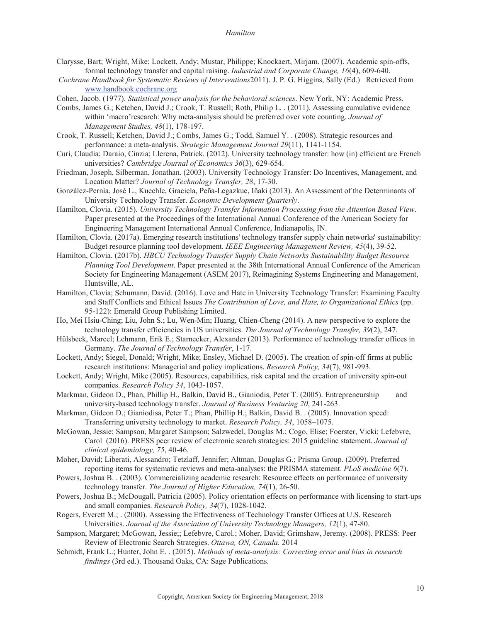- Clarysse, Bart; Wright, Mike; Lockett, Andy; Mustar, Philippe; Knockaert, Mirjam. (2007). Academic spin-offs, formal technology transfer and capital raising. *Industrial and Corporate Change, 16*(4), 609-640.
- *Cochrane Handbook for Systematic Reviews of Interventions*2011). J. P. G. Higgins, Sally (Ed.) Retrieved from www.handbook.cochrane.org
- Cohen, Jacob. (1977). *Statistical power analysis for the behavioral sciences*. New York, NY: Academic Press.
- Combs, James G.; Ketchen, David J.; Crook, T. Russell; Roth, Philip L. . (2011). Assessing cumulative evidence within 'macro'research: Why meta-analysis should be preferred over vote counting. Journal of *Management Studies, 48*(1), 178-197.
- Crook, T. Russell; Ketchen, David J.; Combs, James G.; Todd, Samuel Y. . (2008). Strategic resources and performance: a meta-analysis. Strategic Management Journal 29(11), 1141-1154.
- Curi, Claudia; Daraio, Cinzia; Llerena, Patrick. (2012). University technology transfer: how (in) efficient are French universities? *Cambridge Journal of Economics 36*(3), 629-654.
- Friedman, Joseph, Silberman, Jonathan. (2003). University Technology Transfer: Do Incentives, Management, and Location Matter? *Journal of Technology Transfer, 28*, 17-30.
- González-Pernía, José L., Kuechle, Graciela, Peña-Legazkue, Iñaki (2013). An Assessment of the Determinants of University Technology Transfer. *Economic Development Quarterly*.
- Hamilton, Clovia. (2015). *University Technology Transfer Information Processing from the Attention Based View*. Paper presented at the Proceedings of the International Annual Conference of the American Society for Engineering Management International Annual Conference, Indianapolis, IN.
- Hamilton, Clovia. (2017a). Emerging research institutions' technology transfer supply chain networks' sustainability: Budget resource planning tool development. *IEEE Engineering Management Review, 45*(4), 39-52.
- Hamilton, Clovia. (2017b). *HBCU Technology Transfer Supply Chain Networks Sustainability Budget Resource Planning Tool Development*. Paper presented at the 38th International Annual Conference of the American Society for Engineering Management (ASEM 2017), Reimagining Systems Engineering and Management, Huntsville, AL.
- Hamilton, Clovia; Schumann, David. (2016). Love and Hate in University Technology Transfer: Examining Faculty and Staff Conflicts and Ethical Issues *The Contribution of Love, and Hate, to Organizational Ethics* (pp. 95-122): Emerald Group Publishing Limited.
- Ho, Mei Hsiu-Ching; Liu, John S.; Lu, Wen-Min; Huang, Chien-Cheng (2014). A new perspective to explore the technology transfer efficiencies in US universities. *The Journal of Technology Transfer, 39*(2), 247.
- Hülsbeck, Marcel; Lehmann, Erik E.; Starnecker, Alexander (2013). Performance of technology transfer offices in Germany. *The Journal of Technology Transfer*, 1-17.
- Lockett, Andy; Siegel, Donald; Wright, Mike; Ensley, Michael D. (2005). The creation of spin-off firms at public research institutions: Managerial and policy implications. *Research Policy, 34*(7), 981-993.
- Lockett, Andy; Wright, Mike (2005). Resources, capabilities, risk capital and the creation of university spin-out companies. *Research Policy 34*, 1043-1057.
- Markman, Gideon D., Phan, Phillip H., Balkin, David B., Gianiodis, Peter T. (2005). Entrepreneurship and university-based technology transfer. *Journal of Business Venturing 20*, 241-263.
- Markman, Gideon D.; Gianiodisa, Peter T.; Phan, Phillip H.; Balkin, David B. . (2005). Innovation speed: Transferring university technology to market. *Research Policy, 34*, 1058–1075.
- McGowan, Jessie; Sampson, Margaret Sampson; Salzwedel, Douglas M.; Cogo, Elise; Foerster, Vicki; Lefebvre, Carol (2016). PRESS peer review of electronic search strategies: 2015 guideline statement. *Journal of clinical epidemiology, 75*, 40-46.
- Moher, David; Liberati, Alessandro; Tetzlaff, Jennifer; Altman, Douglas G.; Prisma Group. (2009). Preferred reporting items for systematic reviews and meta-analyses: the PRISMA statement. *PLoS medicine 6*(7).
- Powers, Joshua B. . (2003). Commercializing academic research: Resource effects on performance of university technology transfer. *The Journal of Higher Education, 74*(1), 26-50.
- Powers, Joshua B.; McDougall, Patricia (2005). Policy orientation effects on performance with licensing to start-ups and small companies. *Research Policy, 34*(7), 1028-1042.
- Rogers, Everett M.; . (2000). Assessing the Effectiveness of Technology Transfer Offices at U.S. Research Universities. *Journal of the Association of University Technology Managers, 12*(1), 47-80.
- Sampson, Margaret; McGowan, Jessie;; Lefebvre, Carol.; Moher, David; Grimshaw, Jeremy. (2008). PRESS: Peer Review of Electronic Search Strategies. *Ottawa, ON, Canada.* 2014
- Schmidt, Frank L.; Hunter, John E. . (2015). *Methods of meta-analysis: Correcting error and bias in research findings* (3rd ed.). Thousand Oaks, CA: Sage Publications.